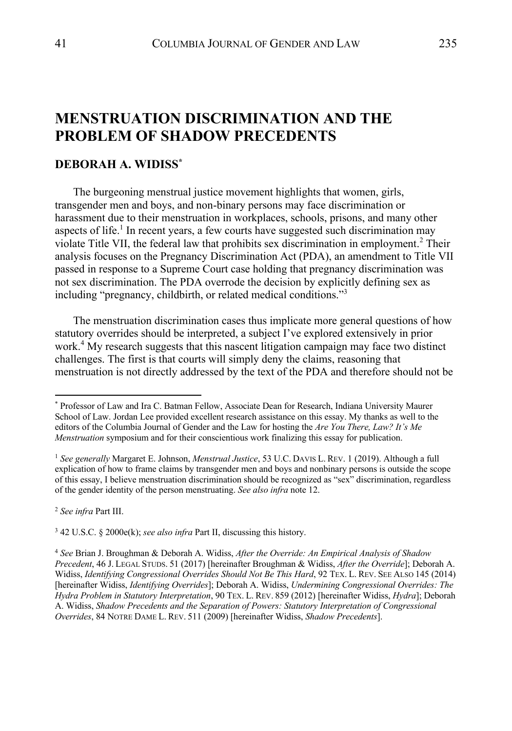# **MENSTRUATION DISCRIMINATION AND THE PROBLEM OF SHADOW PRECEDENTS**

# **DEBORAH A. WIDISS\***

The burgeoning menstrual justice movement highlights that women, girls, transgender men and boys, and non-binary persons may face discrimination or harassment due to their menstruation in workplaces, schools, prisons, and many other aspects of life.<sup>1</sup> In recent years, a few courts have suggested such discrimination may violate Title VII, the federal law that prohibits sex discrimination in employment. <sup>2</sup> Their analysis focuses on the Pregnancy Discrimination Act (PDA), an amendment to Title VII passed in response to a Supreme Court case holding that pregnancy discrimination was not sex discrimination. The PDA overrode the decision by explicitly defining sex as including "pregnancy, childbirth, or related medical conditions."3

The menstruation discrimination cases thus implicate more general questions of how statutory overrides should be interpreted, a subject I've explored extensively in prior work.<sup>4</sup> My research suggests that this nascent litigation campaign may face two distinct challenges. The first is that courts will simply deny the claims, reasoning that menstruation is not directly addressed by the text of the PDA and therefore should not be

<sup>2</sup> *See infra* Part III.

<sup>3</sup> 42 U.S.C. § 2000e(k); *see also infra* Part II, discussing this history.

<sup>\*</sup> Professor of Law and Ira C. Batman Fellow, Associate Dean for Research, Indiana University Maurer School of Law. Jordan Lee provided excellent research assistance on this essay. My thanks as well to the editors of the Columbia Journal of Gender and the Law for hosting the *Are You There, Law? It's Me Menstruation* symposium and for their conscientious work finalizing this essay for publication.

<sup>1</sup> *See generally* Margaret E. Johnson, *Menstrual Justice*, 53 U.C. DAVIS L. REV. 1 (2019). Although a full explication of how to frame claims by transgender men and boys and nonbinary persons is outside the scope of this essay, I believe menstruation discrimination should be recognized as "sex" discrimination, regardless of the gender identity of the person menstruating. *See also infra* note 12.

<sup>4</sup> *See* Brian J. Broughman & Deborah A. Widiss, *After the Override: An Empirical Analysis of Shadow Precedent*, 46 J. LEGAL STUDS. 51 (2017) [hereinafter Broughman & Widiss, *After the Override*]; Deborah A. Widiss, *Identifying Congressional Overrides Should Not Be This Hard*, 92 TEX. L. REV. SEE ALSO 145 (2014) [hereinafter Widiss, *Identifying Overrides*]; Deborah A. Widiss, *Undermining Congressional Overrides: The Hydra Problem in Statutory Interpretation*, 90 TEX. L. REV. 859 (2012) [hereinafter Widiss, *Hydra*]; Deborah A. Widiss, *Shadow Precedents and the Separation of Powers: Statutory Interpretation of Congressional Overrides*, 84 NOTRE DAME L. REV. 511 (2009) [hereinafter Widiss, *Shadow Precedents*].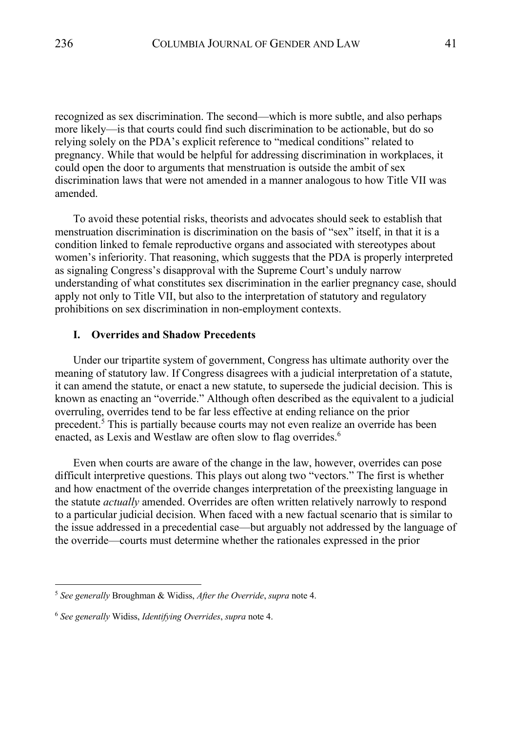recognized as sex discrimination. The second—which is more subtle, and also perhaps more likely—is that courts could find such discrimination to be actionable, but do so relying solely on the PDA's explicit reference to "medical conditions" related to pregnancy. While that would be helpful for addressing discrimination in workplaces, it could open the door to arguments that menstruation is outside the ambit of sex discrimination laws that were not amended in a manner analogous to how Title VII was amended.

To avoid these potential risks, theorists and advocates should seek to establish that menstruation discrimination is discrimination on the basis of "sex" itself, in that it is a condition linked to female reproductive organs and associated with stereotypes about women's inferiority. That reasoning, which suggests that the PDA is properly interpreted as signaling Congress's disapproval with the Supreme Court's unduly narrow understanding of what constitutes sex discrimination in the earlier pregnancy case, should apply not only to Title VII, but also to the interpretation of statutory and regulatory prohibitions on sex discrimination in non-employment contexts.

# **I. Overrides and Shadow Precedents**

Under our tripartite system of government, Congress has ultimate authority over the meaning of statutory law. If Congress disagrees with a judicial interpretation of a statute, it can amend the statute, or enact a new statute, to supersede the judicial decision. This is known as enacting an "override." Although often described as the equivalent to a judicial overruling, overrides tend to be far less effective at ending reliance on the prior precedent.<sup>5</sup> This is partially because courts may not even realize an override has been enacted, as Lexis and Westlaw are often slow to flag overrides.<sup>6</sup>

Even when courts are aware of the change in the law, however, overrides can pose difficult interpretive questions. This plays out along two "vectors." The first is whether and how enactment of the override changes interpretation of the preexisting language in the statute *actually* amended. Overrides are often written relatively narrowly to respond to a particular judicial decision. When faced with a new factual scenario that is similar to the issue addressed in a precedential case—but arguably not addressed by the language of the override—courts must determine whether the rationales expressed in the prior

<sup>5</sup> *See generally* Broughman & Widiss, *After the Override*, *supra* note 4.

<sup>6</sup> *See generally* Widiss, *Identifying Overrides*, *supra* note 4.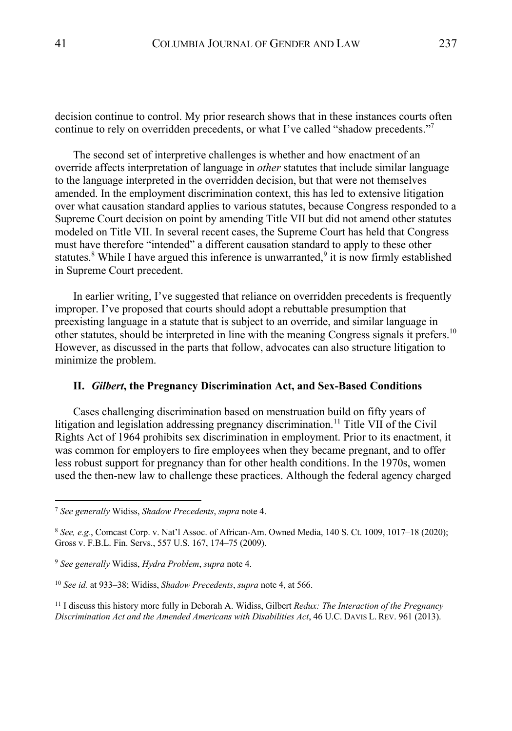decision continue to control. My prior research shows that in these instances courts often continue to rely on overridden precedents, or what I've called "shadow precedents."

The second set of interpretive challenges is whether and how enactment of an override affects interpretation of language in *other* statutes that include similar language to the language interpreted in the overridden decision, but that were not themselves amended. In the employment discrimination context, this has led to extensive litigation over what causation standard applies to various statutes, because Congress responded to a Supreme Court decision on point by amending Title VII but did not amend other statutes modeled on Title VII. In several recent cases, the Supreme Court has held that Congress must have therefore "intended" a different causation standard to apply to these other statutes.<sup>8</sup> While I have argued this inference is unwarranted,  $\frac{9}{1}$  it is now firmly established in Supreme Court precedent.

In earlier writing, I've suggested that reliance on overridden precedents is frequently improper. I've proposed that courts should adopt a rebuttable presumption that preexisting language in a statute that is subject to an override, and similar language in other statutes, should be interpreted in line with the meaning Congress signals it prefers.<sup>10</sup> However, as discussed in the parts that follow, advocates can also structure litigation to minimize the problem.

### **II.** *Gilbert***, the Pregnancy Discrimination Act, and Sex-Based Conditions**

Cases challenging discrimination based on menstruation build on fifty years of litigation and legislation addressing pregnancy discrimination.<sup>11</sup> Title VII of the Civil Rights Act of 1964 prohibits sex discrimination in employment. Prior to its enactment, it was common for employers to fire employees when they became pregnant, and to offer less robust support for pregnancy than for other health conditions. In the 1970s, women used the then-new law to challenge these practices. Although the federal agency charged

<sup>7</sup> *See generally* Widiss, *Shadow Precedents*, *supra* note 4.

<sup>8</sup> *See, e.g.*, Comcast Corp. v. Nat'l Assoc. of African-Am. Owned Media, 140 S. Ct. 1009, 1017–18 (2020); Gross v. F.B.L. Fin. Servs., 557 U.S. 167, 174–75 (2009).

<sup>9</sup> *See generally* Widiss, *Hydra Problem*, *supra* note 4.

<sup>10</sup> *See id.* at 933–38; Widiss, *Shadow Precedents*, *supra* note 4, at 566.

<sup>11</sup> I discuss this history more fully in Deborah A. Widiss, Gilbert *Redux: The Interaction of the Pregnancy Discrimination Act and the Amended Americans with Disabilities Act*, 46 U.C. DAVIS L. REV. 961 (2013).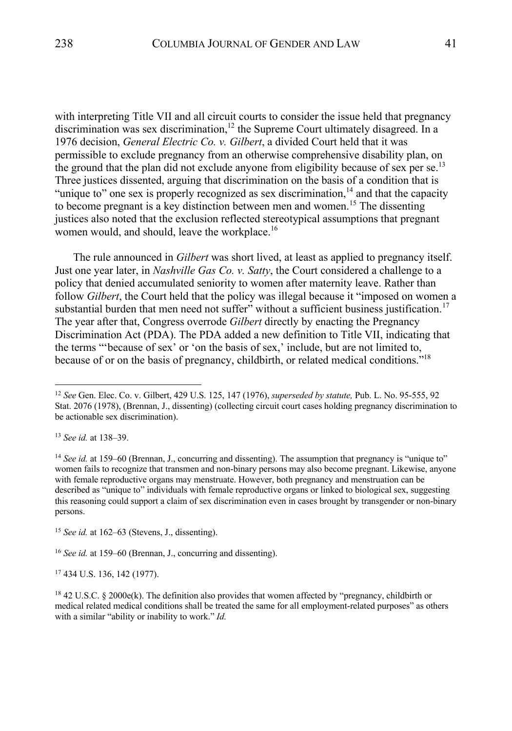with interpreting Title VII and all circuit courts to consider the issue held that pregnancy discrimination was sex discrimination,<sup>12</sup> the Supreme Court ultimately disagreed. In a 1976 decision, *General Electric Co. v. Gilbert*, a divided Court held that it was permissible to exclude pregnancy from an otherwise comprehensive disability plan, on the ground that the plan did not exclude anyone from eligibility because of sex per se.<sup>13</sup> Three justices dissented, arguing that discrimination on the basis of a condition that is "unique to" one sex is properly recognized as sex discrimination, $14$  and that the capacity to become pregnant is a key distinction between men and women.<sup>15</sup> The dissenting justices also noted that the exclusion reflected stereotypical assumptions that pregnant women would, and should, leave the workplace.<sup>16</sup>

The rule announced in *Gilbert* was short lived, at least as applied to pregnancy itself. Just one year later, in *Nashville Gas Co. v. Satty*, the Court considered a challenge to a policy that denied accumulated seniority to women after maternity leave. Rather than follow *Gilbert*, the Court held that the policy was illegal because it "imposed on women a substantial burden that men need not suffer" without a sufficient business justification.<sup>17</sup> The year after that, Congress overrode *Gilbert* directly by enacting the Pregnancy Discrimination Act (PDA). The PDA added a new definition to Title VII, indicating that the terms "'because of sex' or 'on the basis of sex,' include, but are not limited to, because of or on the basis of pregnancy, childbirth, or related medical conditions."<sup>18</sup>

<sup>16</sup> *See id.* at 159–60 (Brennan, J., concurring and dissenting).

<sup>17</sup> 434 U.S. 136, 142 (1977).

<sup>12</sup> *See* Gen. Elec. Co. v. Gilbert, 429 U.S. 125, 147 (1976), *superseded by statute,* Pub. L. No. 95-555, 92 Stat. 2076 (1978), (Brennan, J., dissenting) (collecting circuit court cases holding pregnancy discrimination to be actionable sex discrimination).

<sup>13</sup> *See id.* at 138–39.

<sup>&</sup>lt;sup>14</sup> See id. at 159–60 (Brennan, J., concurring and dissenting). The assumption that pregnancy is "unique to" women fails to recognize that transmen and non-binary persons may also become pregnant. Likewise, anyone with female reproductive organs may menstruate. However, both pregnancy and menstruation can be described as "unique to" individuals with female reproductive organs or linked to biological sex, suggesting this reasoning could support a claim of sex discrimination even in cases brought by transgender or non-binary persons.

<sup>15</sup> *See id.* at 162–63 (Stevens, J., dissenting).

<sup>18</sup> 42 U.S.C. § 2000e(k). The definition also provides that women affected by "pregnancy, childbirth or medical related medical conditions shall be treated the same for all employment-related purposes" as others with a similar "ability or inability to work." *Id.*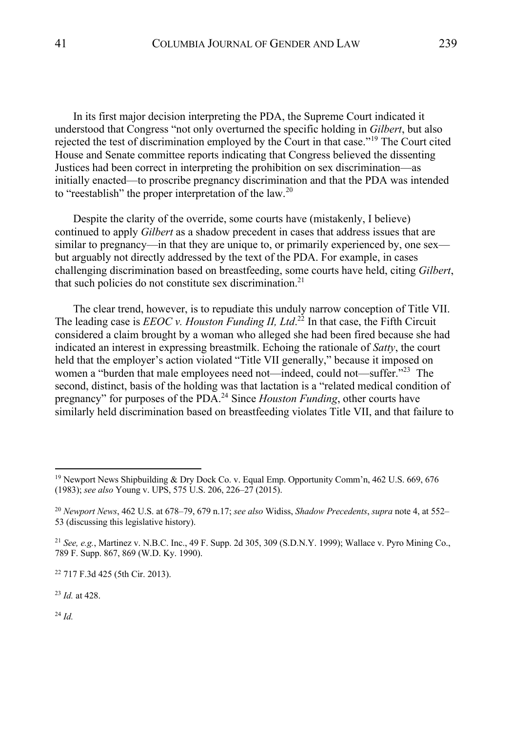In its first major decision interpreting the PDA, the Supreme Court indicated it understood that Congress "not only overturned the specific holding in *Gilbert*, but also rejected the test of discrimination employed by the Court in that case.<sup>"19</sup> The Court cited House and Senate committee reports indicating that Congress believed the dissenting Justices had been correct in interpreting the prohibition on sex discrimination—as initially enacted—to proscribe pregnancy discrimination and that the PDA was intended to "reestablish" the proper interpretation of the law.<sup>20</sup>

Despite the clarity of the override, some courts have (mistakenly, I believe) continued to apply *Gilbert* as a shadow precedent in cases that address issues that are similar to pregnancy—in that they are unique to, or primarily experienced by, one sex but arguably not directly addressed by the text of the PDA. For example, in cases challenging discrimination based on breastfeeding, some courts have held, citing *Gilbert*, that such policies do not constitute sex discrimination.<sup>21</sup>

The clear trend, however, is to repudiate this unduly narrow conception of Title VII. The leading case is *EEOC v. Houston Funding II, Ltd*<sup>22</sup> In that case, the Fifth Circuit considered a claim brought by a woman who alleged she had been fired because she had indicated an interest in expressing breastmilk. Echoing the rationale of *Satty*, the court held that the employer's action violated "Title VII generally," because it imposed on women a "burden that male employees need not—indeed, could not—suffer."<sup>23</sup> The second, distinct, basis of the holding was that lactation is a "related medical condition of pregnancy" for purposes of the PDA.24 Since *Houston Funding*, other courts have similarly held discrimination based on breastfeeding violates Title VII, and that failure to

<sup>23</sup> *Id.* at 428.

<sup>24</sup> *Id.*

<sup>&</sup>lt;sup>19</sup> Newport News Shipbuilding & Dry Dock Co. v. Equal Emp. Opportunity Comm'n, 462 U.S. 669, 676 (1983); *see also* Young v. UPS, 575 U.S. 206, 226–27 (2015).

<sup>20</sup> *Newport News*, 462 U.S. at 678–79, 679 n.17; *see also* Widiss, *Shadow Precedents*, *supra* note 4, at 552– 53 (discussing this legislative history).

<sup>21</sup> *See, e.g.*, Martinez v. N.B.C. Inc., 49 F. Supp. 2d 305, 309 (S.D.N.Y. 1999); Wallace v. Pyro Mining Co., 789 F. Supp. 867, 869 (W.D. Ky. 1990).

<sup>22</sup> 717 F.3d 425 (5th Cir. 2013).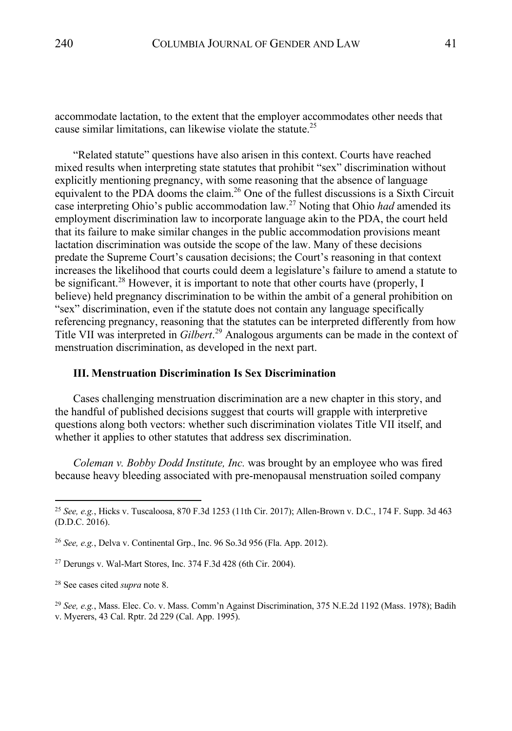accommodate lactation, to the extent that the employer accommodates other needs that cause similar limitations, can likewise violate the statute.25

"Related statute" questions have also arisen in this context. Courts have reached mixed results when interpreting state statutes that prohibit "sex" discrimination without explicitly mentioning pregnancy, with some reasoning that the absence of language equivalent to the PDA dooms the claim.<sup>26</sup> One of the fullest discussions is a Sixth Circuit case interpreting Ohio's public accommodation law.<sup>27</sup> Noting that Ohio *had* amended its employment discrimination law to incorporate language akin to the PDA, the court held that its failure to make similar changes in the public accommodation provisions meant lactation discrimination was outside the scope of the law. Many of these decisions predate the Supreme Court's causation decisions; the Court's reasoning in that context increases the likelihood that courts could deem a legislature's failure to amend a statute to be significant.<sup>28</sup> However, it is important to note that other courts have (properly, I believe) held pregnancy discrimination to be within the ambit of a general prohibition on "sex" discrimination, even if the statute does not contain any language specifically referencing pregnancy, reasoning that the statutes can be interpreted differently from how Title VII was interpreted in *Gilbert*. <sup>29</sup> Analogous arguments can be made in the context of menstruation discrimination, as developed in the next part.

# **III. Menstruation Discrimination Is Sex Discrimination**

Cases challenging menstruation discrimination are a new chapter in this story, and the handful of published decisions suggest that courts will grapple with interpretive questions along both vectors: whether such discrimination violates Title VII itself, and whether it applies to other statutes that address sex discrimination.

*Coleman v. Bobby Dodd Institute, Inc.* was brought by an employee who was fired because heavy bleeding associated with pre-menopausal menstruation soiled company

<sup>25</sup> *See, e.g.*, Hicks v. Tuscaloosa, 870 F.3d 1253 (11th Cir. 2017); Allen-Brown v. D.C., 174 F. Supp. 3d 463 (D.D.C. 2016).

<sup>26</sup> *See, e.g.*, Delva v. Continental Grp., Inc. 96 So.3d 956 (Fla. App. 2012).

 $27$  Derungs v. Wal-Mart Stores, Inc. 374 F.3d 428 (6th Cir. 2004).

<sup>28</sup> See cases cited *supra* note 8.

<sup>29</sup> *See, e.g.*, Mass. Elec. Co. v. Mass. Comm'n Against Discrimination, 375 N.E.2d 1192 (Mass. 1978); Badih v. Myerers, 43 Cal. Rptr. 2d 229 (Cal. App. 1995).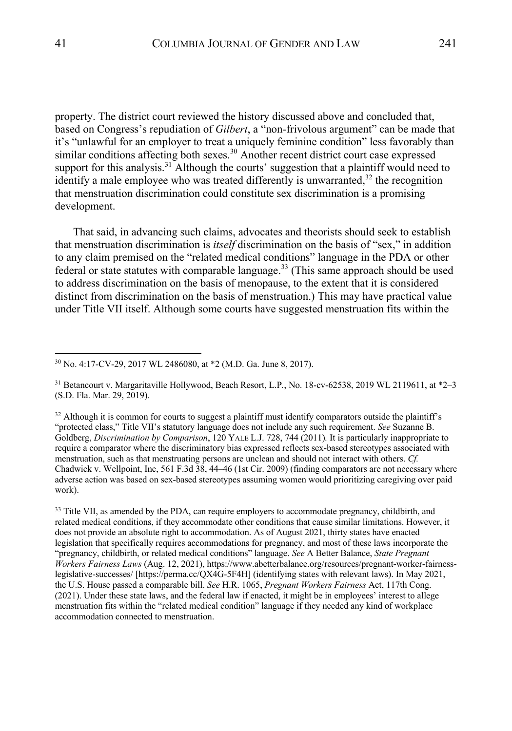property. The district court reviewed the history discussed above and concluded that, based on Congress's repudiation of *Gilbert*, a "non-frivolous argument" can be made that it's "unlawful for an employer to treat a uniquely feminine condition" less favorably than similar conditions affecting both sexes.<sup>30</sup> Another recent district court case expressed support for this analysis.<sup>31</sup> Although the courts' suggestion that a plaintiff would need to identify a male employee who was treated differently is unwarranted, $32$  the recognition that menstruation discrimination could constitute sex discrimination is a promising development.

That said, in advancing such claims, advocates and theorists should seek to establish that menstruation discrimination is *itself* discrimination on the basis of "sex," in addition to any claim premised on the "related medical conditions" language in the PDA or other federal or state statutes with comparable language.<sup>33</sup> (This same approach should be used to address discrimination on the basis of menopause, to the extent that it is considered distinct from discrimination on the basis of menstruation.) This may have practical value under Title VII itself. Although some courts have suggested menstruation fits within the

<sup>33</sup> Title VII, as amended by the PDA, can require employers to accommodate pregnancy, childbirth, and related medical conditions, if they accommodate other conditions that cause similar limitations. However, it does not provide an absolute right to accommodation. As of August 2021, thirty states have enacted legislation that specifically requires accommodations for pregnancy, and most of these laws incorporate the "pregnancy, childbirth, or related medical conditions" language. *See* A Better Balance, *State Pregnant Workers Fairness Laws* (Aug. 12, 2021), https://www.abetterbalance.org/resources/pregnant-worker-fairnesslegislative-successes/ [https://perma.cc/QX4G-5F4H] (identifying states with relevant laws). In May 2021, the U.S. House passed a comparable bill. *See* H.R. 1065, *Pregnant Workers Fairness* Act, 117th Cong. (2021). Under these state laws, and the federal law if enacted, it might be in employees' interest to allege menstruation fits within the "related medical condition" language if they needed any kind of workplace accommodation connected to menstruation.

<sup>30</sup> No. 4:17-CV-29, 2017 WL 2486080, at \*2 (M.D. Ga. June 8, 2017).

<sup>31</sup> Betancourt v. Margaritaville Hollywood, Beach Resort, L.P*.*, No. 18-cv-62538, 2019 WL 2119611, at \*2–3 (S.D. Fla. Mar. 29, 2019).

 $32$  Although it is common for courts to suggest a plaintiff must identify comparators outside the plaintiff's "protected class," Title VII's statutory language does not include any such requirement. *See* Suzanne B. Goldberg, *Discrimination by Comparison*, 120 YALE L.J. 728, 744 (2011)*.* It is particularly inappropriate to require a comparator where the discriminatory bias expressed reflects sex-based stereotypes associated with menstruation, such as that menstruating persons are unclean and should not interact with others. *Cf.*  Chadwick v. Wellpoint, Inc, 561 F.3d 38, 44–46 (1st Cir. 2009) (finding comparators are not necessary where adverse action was based on sex-based stereotypes assuming women would prioritizing caregiving over paid work).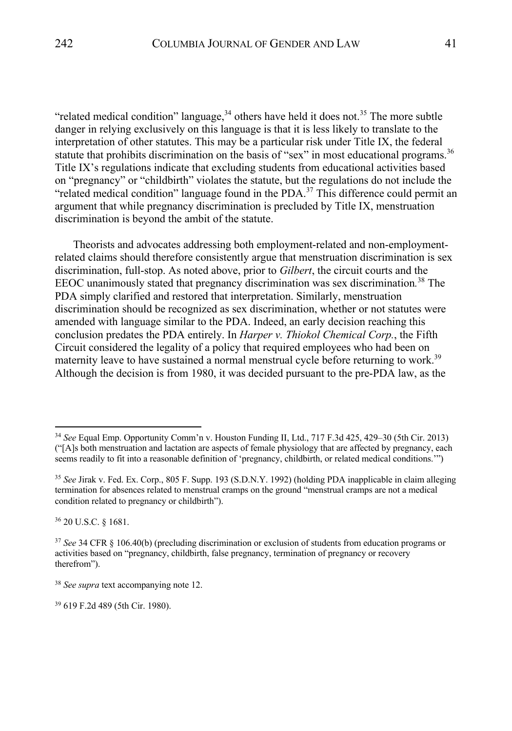"related medical condition" language,  $34$  others have held it does not.<sup>35</sup> The more subtle danger in relying exclusively on this language is that it is less likely to translate to the interpretation of other statutes. This may be a particular risk under Title IX, the federal statute that prohibits discrimination on the basis of "sex" in most educational programs.<sup>36</sup> Title IX's regulations indicate that excluding students from educational activities based on "pregnancy" or "childbirth" violates the statute, but the regulations do not include the "related medical condition" language found in the  $PDA$ <sup>37</sup>. This difference could permit an argument that while pregnancy discrimination is precluded by Title IX, menstruation discrimination is beyond the ambit of the statute.

Theorists and advocates addressing both employment-related and non-employmentrelated claims should therefore consistently argue that menstruation discrimination is sex discrimination, full-stop. As noted above, prior to *Gilbert*, the circuit courts and the EEOC unanimously stated that pregnancy discrimination was sex discrimination*.* <sup>38</sup> The PDA simply clarified and restored that interpretation. Similarly, menstruation discrimination should be recognized as sex discrimination, whether or not statutes were amended with language similar to the PDA. Indeed, an early decision reaching this conclusion predates the PDA entirely. In *Harper v. Thiokol Chemical Corp.*, the Fifth Circuit considered the legality of a policy that required employees who had been on maternity leave to have sustained a normal menstrual cycle before returning to work.<sup>39</sup> Although the decision is from 1980, it was decided pursuant to the pre-PDA law, as the

<sup>36</sup> 20 U.S.C. § 1681.

<sup>34</sup> *See* Equal Emp. Opportunity Comm'n v. Houston Funding II, Ltd., 717 F.3d 425, 429–30 (5th Cir. 2013) ("[A]s both menstruation and lactation are aspects of female physiology that are affected by pregnancy, each seems readily to fit into a reasonable definition of 'pregnancy, childbirth, or related medical conditions.'")

<sup>35</sup> *See* Jirak v. Fed. Ex. Corp., 805 F. Supp. 193 (S.D.N.Y. 1992) (holding PDA inapplicable in claim alleging termination for absences related to menstrual cramps on the ground "menstrual cramps are not a medical condition related to pregnancy or childbirth").

<sup>37</sup> *See* 34 CFR § 106.40(b) (precluding discrimination or exclusion of students from education programs or activities based on "pregnancy, childbirth, false pregnancy, termination of pregnancy or recovery therefrom").

<sup>38</sup> *See supra* text accompanying note 12.

<sup>39</sup> 619 F.2d 489 (5th Cir. 1980).